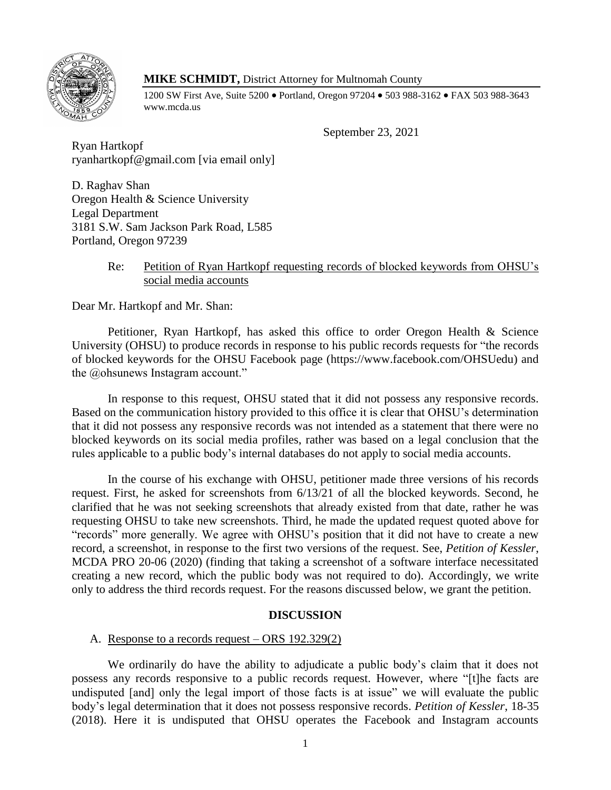

## **MIKE SCHMIDT,** District Attorney for Multnomah County

1200 SW First Ave, Suite 5200 • Portland, Oregon 97204 • 503 988-3162 • FAX 503 988-3643 www.mcda.us

September 23, 2021

Ryan Hartkopf ryanhartkopf@gmail.com [via email only]

D. Raghav Shan Oregon Health & Science University Legal Department 3181 S.W. Sam Jackson Park Road, L585 Portland, Oregon 97239

# Re: Petition of Ryan Hartkopf requesting records of blocked keywords from OHSU's social media accounts

Dear Mr. Hartkopf and Mr. Shan:

Petitioner, Ryan Hartkopf, has asked this office to order Oregon Health & Science University (OHSU) to produce records in response to his public records requests for "the records of blocked keywords for the OHSU Facebook page (https://www.facebook.com/OHSUedu) and the @ohsunews Instagram account."

In response to this request, OHSU stated that it did not possess any responsive records. Based on the communication history provided to this office it is clear that OHSU's determination that it did not possess any responsive records was not intended as a statement that there were no blocked keywords on its social media profiles, rather was based on a legal conclusion that the rules applicable to a public body's internal databases do not apply to social media accounts.

In the course of his exchange with OHSU, petitioner made three versions of his records request. First, he asked for screenshots from 6/13/21 of all the blocked keywords. Second, he clarified that he was not seeking screenshots that already existed from that date, rather he was requesting OHSU to take new screenshots. Third, he made the updated request quoted above for "records" more generally. We agree with OHSU's position that it did not have to create a new record, a screenshot, in response to the first two versions of the request. See, *Petition of Kessler*, MCDA PRO 20-06 (2020) (finding that taking a screenshot of a software interface necessitated creating a new record, which the public body was not required to do). Accordingly, we write only to address the third records request. For the reasons discussed below, we grant the petition.

### **DISCUSSION**

### A. Response to a records request – ORS 192.329(2)

We ordinarily do have the ability to adjudicate a public body's claim that it does not possess any records responsive to a public records request. However, where "[t]he facts are undisputed [and] only the legal import of those facts is at issue" we will evaluate the public body's legal determination that it does not possess responsive records. *Petition of Kessler*, 18-35 (2018). Here it is undisputed that OHSU operates the Facebook and Instagram accounts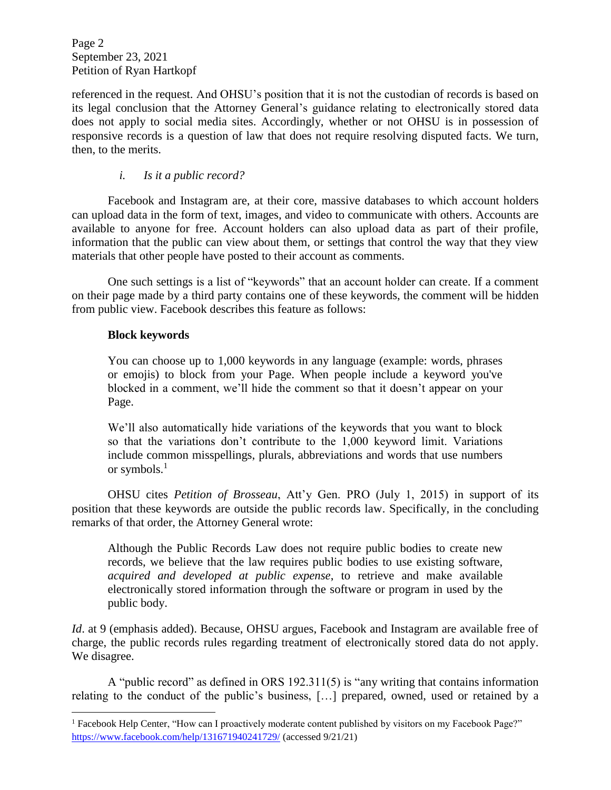Page 2 September 23, 2021 Petition of Ryan Hartkopf

referenced in the request. And OHSU's position that it is not the custodian of records is based on its legal conclusion that the Attorney General's guidance relating to electronically stored data does not apply to social media sites. Accordingly, whether or not OHSU is in possession of responsive records is a question of law that does not require resolving disputed facts. We turn, then, to the merits.

# *i. Is it a public record?*

Facebook and Instagram are, at their core, massive databases to which account holders can upload data in the form of text, images, and video to communicate with others. Accounts are available to anyone for free. Account holders can also upload data as part of their profile, information that the public can view about them, or settings that control the way that they view materials that other people have posted to their account as comments.

One such settings is a list of "keywords" that an account holder can create. If a comment on their page made by a third party contains one of these keywords, the comment will be hidden from public view. Facebook describes this feature as follows:

### **Block keywords**

l

You can choose up to 1,000 keywords in any language (example: words, phrases or emojis) to block from your Page. When people include a keyword you've blocked in a comment, we'll hide the comment so that it doesn't appear on your Page.

We'll also automatically hide variations of the keywords that you want to block so that the variations don't contribute to the 1,000 keyword limit. Variations include common misspellings, plurals, abbreviations and words that use numbers or symbols. $<sup>1</sup>$ </sup>

OHSU cites *Petition of Brosseau*, Att'y Gen. PRO (July 1, 2015) in support of its position that these keywords are outside the public records law. Specifically, in the concluding remarks of that order, the Attorney General wrote:

Although the Public Records Law does not require public bodies to create new records, we believe that the law requires public bodies to use existing software, *acquired and developed at public expense*, to retrieve and make available electronically stored information through the software or program in used by the public body.

*Id.* at 9 (emphasis added). Because, OHSU argues, Facebook and Instagram are available free of charge, the public records rules regarding treatment of electronically stored data do not apply. We disagree.

A "public record" as defined in ORS 192.311(5) is "any writing that contains information relating to the conduct of the public's business, […] prepared, owned, used or retained by a

<sup>&</sup>lt;sup>1</sup> Facebook Help Center, "How can I proactively moderate content published by visitors on my Facebook Page?" <https://www.facebook.com/help/131671940241729/> (accessed 9/21/21)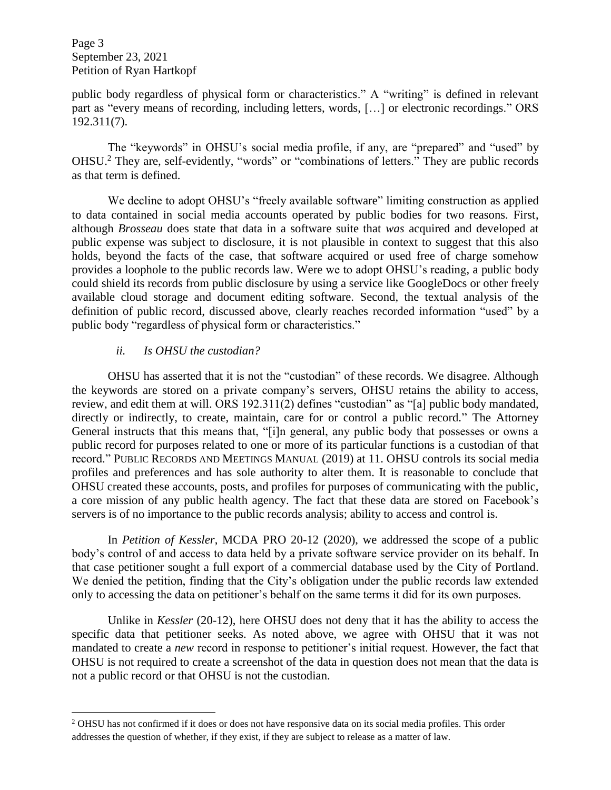Page 3 September 23, 2021 Petition of Ryan Hartkopf

public body regardless of physical form or characteristics." A "writing" is defined in relevant part as "every means of recording, including letters, words, […] or electronic recordings." ORS 192.311(7).

The "keywords" in OHSU's social media profile, if any, are "prepared" and "used" by OHSU.<sup>2</sup> They are, self-evidently, "words" or "combinations of letters." They are public records as that term is defined.

We decline to adopt OHSU's "freely available software" limiting construction as applied to data contained in social media accounts operated by public bodies for two reasons. First, although *Brosseau* does state that data in a software suite that *was* acquired and developed at public expense was subject to disclosure, it is not plausible in context to suggest that this also holds, beyond the facts of the case, that software acquired or used free of charge somehow provides a loophole to the public records law. Were we to adopt OHSU's reading, a public body could shield its records from public disclosure by using a service like GoogleDocs or other freely available cloud storage and document editing software. Second, the textual analysis of the definition of public record, discussed above, clearly reaches recorded information "used" by a public body "regardless of physical form or characteristics."

### *ii. Is OHSU the custodian?*

l

OHSU has asserted that it is not the "custodian" of these records. We disagree. Although the keywords are stored on a private company's servers, OHSU retains the ability to access, review, and edit them at will. ORS 192.311(2) defines "custodian" as "[a] public body mandated, directly or indirectly, to create, maintain, care for or control a public record." The Attorney General instructs that this means that, "[i]n general, any public body that possesses or owns a public record for purposes related to one or more of its particular functions is a custodian of that record." PUBLIC RECORDS AND MEETINGS MANUAL (2019) at 11. OHSU controls its social media profiles and preferences and has sole authority to alter them. It is reasonable to conclude that OHSU created these accounts, posts, and profiles for purposes of communicating with the public, a core mission of any public health agency. The fact that these data are stored on Facebook's servers is of no importance to the public records analysis; ability to access and control is.

In *Petition of Kessler*, MCDA PRO 20-12 (2020), we addressed the scope of a public body's control of and access to data held by a private software service provider on its behalf. In that case petitioner sought a full export of a commercial database used by the City of Portland. We denied the petition, finding that the City's obligation under the public records law extended only to accessing the data on petitioner's behalf on the same terms it did for its own purposes.

Unlike in *Kessler* (20-12), here OHSU does not deny that it has the ability to access the specific data that petitioner seeks. As noted above, we agree with OHSU that it was not mandated to create a *new* record in response to petitioner's initial request. However, the fact that OHSU is not required to create a screenshot of the data in question does not mean that the data is not a public record or that OHSU is not the custodian.

<sup>&</sup>lt;sup>2</sup> OHSU has not confirmed if it does or does not have responsive data on its social media profiles. This order addresses the question of whether, if they exist, if they are subject to release as a matter of law.